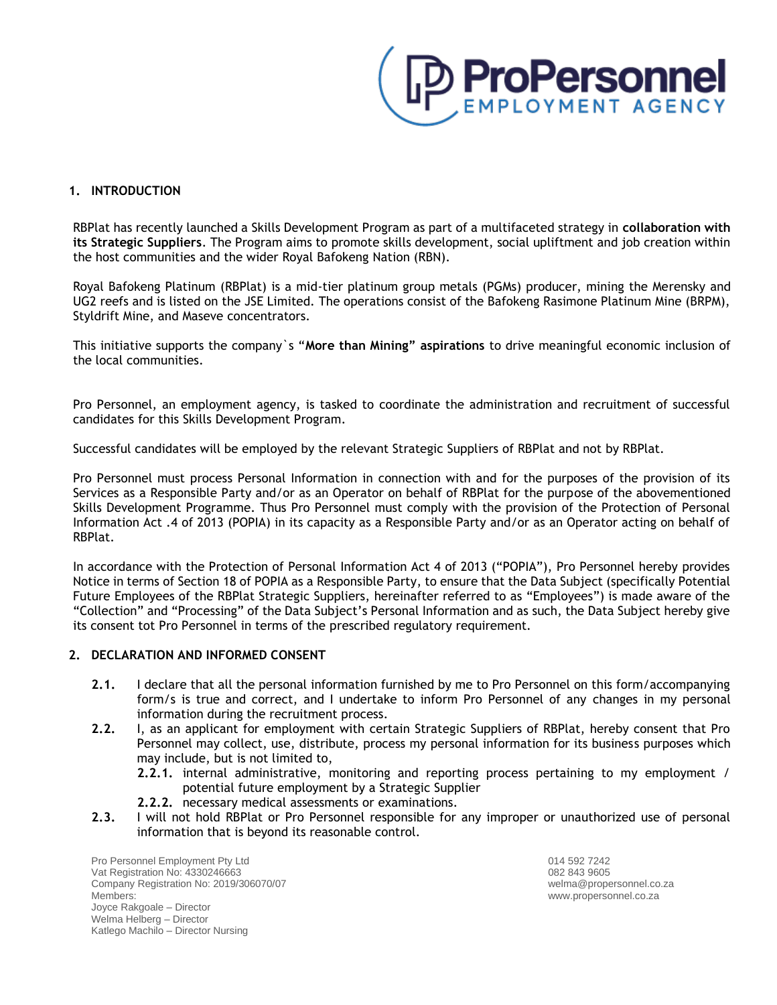

## **1. INTRODUCTION**

RBPlat has recently launched a Skills Development Program as part of a multifaceted strategy in **collaboration with its Strategic Suppliers**. The Program aims to promote skills development, social upliftment and job creation within the host communities and the wider Royal Bafokeng Nation (RBN).

Royal Bafokeng Platinum (RBPlat) is a mid-tier platinum group metals (PGMs) producer, mining the Merensky and UG2 reefs and is listed on the JSE Limited. The operations consist of the Bafokeng Rasimone Platinum Mine (BRPM), Styldrift Mine, and Maseve concentrators.

This initiative supports the company`s "**More than Mining" aspirations** to drive meaningful economic inclusion of the local communities.

Pro Personnel, an employment agency, is tasked to coordinate the administration and recruitment of successful candidates for this Skills Development Program.

Successful candidates will be employed by the relevant Strategic Suppliers of RBPlat and not by RBPlat.

Pro Personnel must process Personal Information in connection with and for the purposes of the provision of its Services as a Responsible Party and/or as an Operator on behalf of RBPlat for the purpose of the abovementioned Skills Development Programme. Thus Pro Personnel must comply with the provision of the Protection of Personal Information Act .4 of 2013 (POPIA) in its capacity as a Responsible Party and/or as an Operator acting on behalf of RBPlat.

In accordance with the Protection of Personal Information Act 4 of 2013 ("POPIA"), Pro Personnel hereby provides Notice in terms of Section 18 of POPIA as a Responsible Party, to ensure that the Data Subject (specifically Potential Future Employees of the RBPlat Strategic Suppliers, hereinafter referred to as "Employees") is made aware of the "Collection" and "Processing" of the Data Subject's Personal Information and as such, the Data Subject hereby give its consent tot Pro Personnel in terms of the prescribed regulatory requirement.

## **2. DECLARATION AND INFORMED CONSENT**

- **2.1.** I declare that all the personal information furnished by me to Pro Personnel on this form/accompanying form/s is true and correct, and I undertake to inform Pro Personnel of any changes in my personal information during the recruitment process.
- **2.2.** I, as an applicant for employment with certain Strategic Suppliers of RBPlat, hereby consent that Pro Personnel may collect, use, distribute, process my personal information for its business purposes which may include, but is not limited to,
	- **2.2.1.** internal administrative, monitoring and reporting process pertaining to my employment / potential future employment by a Strategic Supplier
	- **2.2.2.** necessary medical assessments or examinations.
- **2.3.** I will not hold RBPlat or Pro Personnel responsible for any improper or unauthorized use of personal information that is beyond its reasonable control.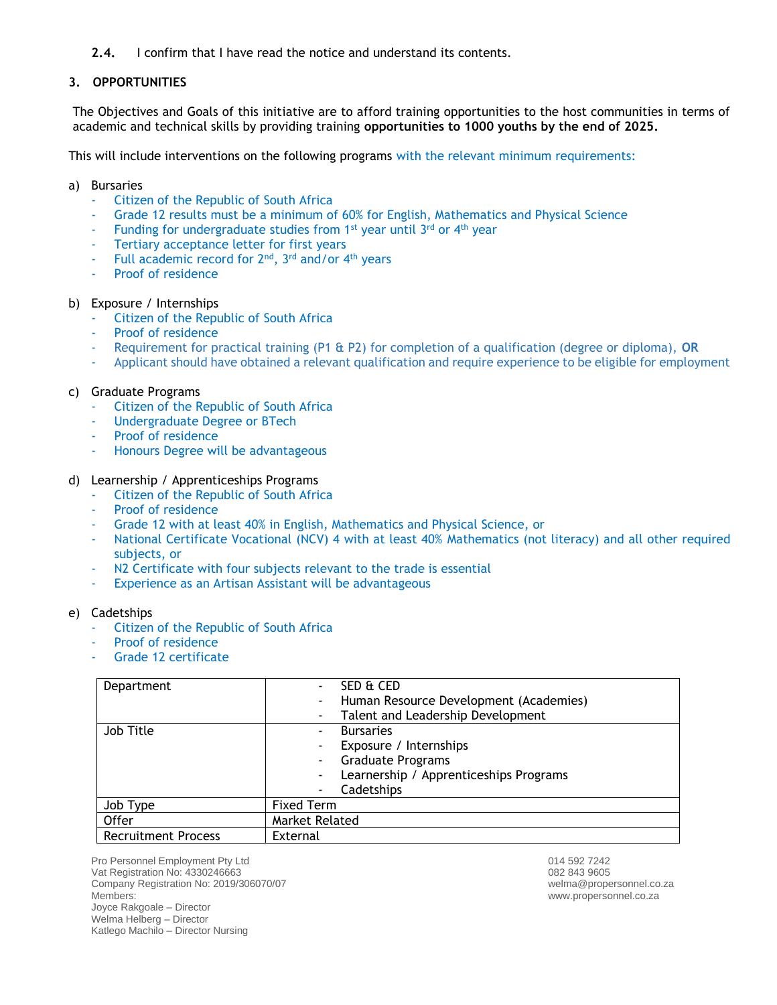# **2.4.** I confirm that I have read the notice and understand its contents.

# **3. OPPORTUNITIES**

The Objectives and Goals of this initiative are to afford training opportunities to the host communities in terms of academic and technical skills by providing training **opportunities to 1000 youths by the end of 2025.** 

This will include interventions on the following programs with the relevant minimum requirements:

#### a) Bursaries

- Citizen of the Republic of South Africa
- Grade 12 results must be a minimum of 60% for English, Mathematics and Physical Science
- Funding for undergraduate studies from  $1^{st}$  year until  $3^{rd}$  or  $4^{th}$  year
- Tertiary acceptance letter for first years
- Full academic record for 2<sup>nd</sup>, 3<sup>rd</sup> and/or 4<sup>th</sup> years
- Proof of residence

#### b) Exposure / Internships

- Citizen of the Republic of South Africa
- Proof of residence
- Requirement for practical training (P1 & P2) for completion of a qualification (degree or diploma), **OR**
- Applicant should have obtained a relevant qualification and require experience to be eligible for employment

## c) Graduate Programs

- Citizen of the Republic of South Africa
- Undergraduate Degree or BTech
- Proof of residence
- Honours Degree will be advantageous

#### d) Learnership / Apprenticeships Programs

- Citizen of the Republic of South Africa
- Proof of residence
- Grade 12 with at least 40% in English, Mathematics and Physical Science, or
- National Certificate Vocational (NCV) 4 with at least 40% Mathematics (not literacy) and all other required subjects, or
- N2 Certificate with four subjects relevant to the trade is essential
- Experience as an Artisan Assistant will be advantageous

#### e) Cadetships

- Citizen of the Republic of South Africa
- Proof of residence
- Grade 12 certificate

| Department                 | SED & CED                                   |
|----------------------------|---------------------------------------------|
|                            | Human Resource Development (Academies)      |
|                            | Talent and Leadership Development           |
| Job Title                  | <b>Bursaries</b><br>$\blacksquare$          |
|                            | Exposure / Internships                      |
|                            | <b>Graduate Programs</b><br>٠               |
|                            | Learnership / Apprenticeships Programs<br>٠ |
|                            | Cadetships                                  |
| Job Type                   | <b>Fixed Term</b>                           |
| Offer                      | Market Related                              |
| <b>Recruitment Process</b> | External                                    |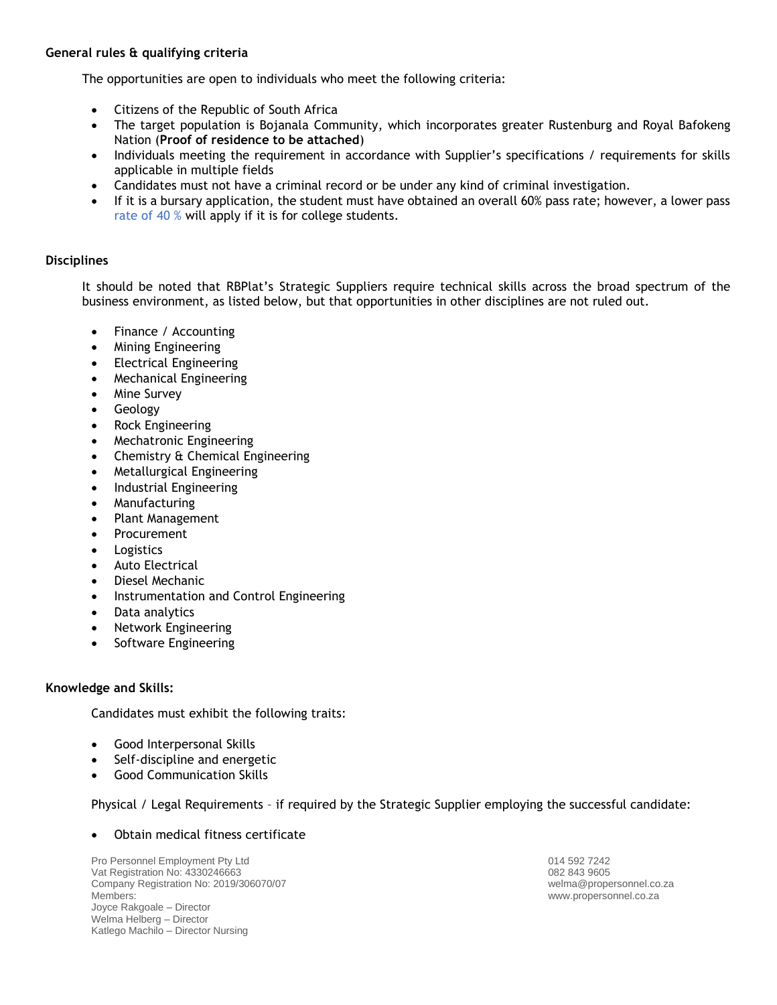# **General rules & qualifying criteria**

The opportunities are open to individuals who meet the following criteria:

- Citizens of the Republic of South Africa
- The target population is Bojanala Community, which incorporates greater Rustenburg and Royal Bafokeng Nation (**Proof of residence to be attached**)
- Individuals meeting the requirement in accordance with Supplier's specifications / requirements for skills applicable in multiple fields
- Candidates must not have a criminal record or be under any kind of criminal investigation.
- If it is a bursary application, the student must have obtained an overall 60% pass rate; however, a lower pass rate of 40 % will apply if it is for college students.

# **Disciplines**

It should be noted that RBPlat's Strategic Suppliers require technical skills across the broad spectrum of the business environment, as listed below, but that opportunities in other disciplines are not ruled out.

- Finance / Accounting
- Mining Engineering
- Electrical Engineering
- Mechanical Engineering
- **Mine Survey**
- Geology
- Rock Engineering
- Mechatronic Engineering
- Chemistry & Chemical Engineering
- Metallurgical Engineering
- Industrial Engineering
- Manufacturing
- Plant Management
- **Procurement**
- **Logistics**
- Auto Electrical
- Diesel Mechanic
- Instrumentation and Control Engineering
- Data analytics
- Network Engineering
- Software Engineering

## **Knowledge and Skills:**

Candidates must exhibit the following traits:

- Good Interpersonal Skills
- Self-discipline and energetic
- Good Communication Skills

## Physical / Legal Requirements – if required by the Strategic Supplier employing the successful candidate:

## • Obtain medical fitness certificate